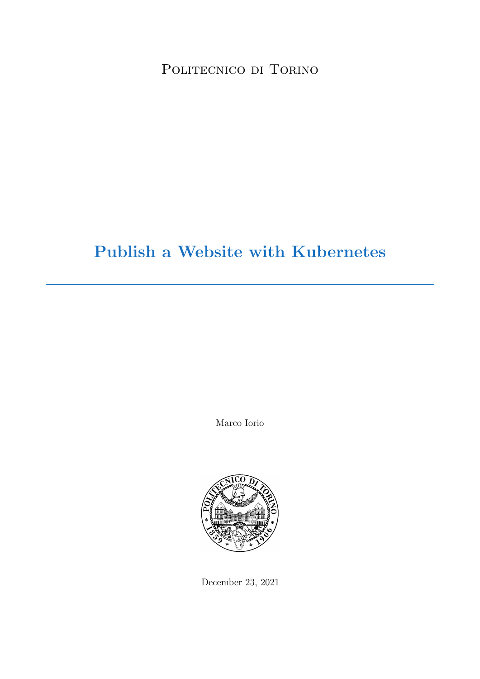POLITECNICO DI TORINO

# Publish a Website with Kubernetes

Marco Iorio



December 23, 2021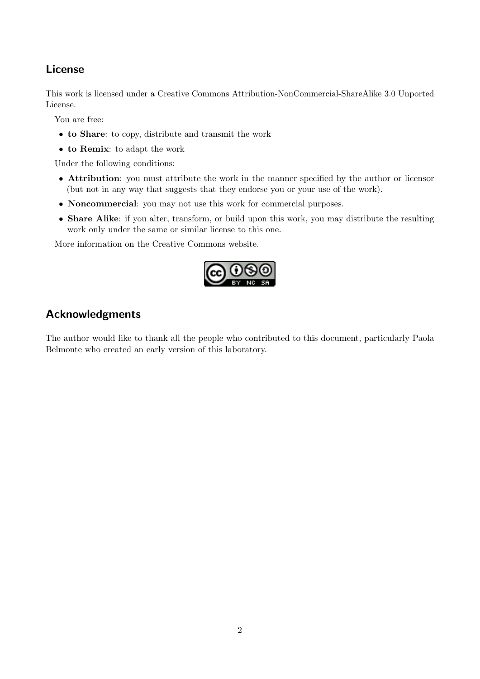## License

This work is licensed under a Creative Commons Attribution-NonCommercial-ShareAlike 3.0 Unported License.

You are free:

- to Share: to copy, distribute and transmit the work
- to Remix: to adapt the work

Under the following conditions:

- Attribution: you must attribute the work in the manner specified by the author or licensor (but not in any way that suggests that they endorse you or your use of the work).
- Noncommercial: you may not use this work for commercial purposes.
- Share Alike: if you alter, transform, or build upon this work, you may distribute the resulting work only under the same or similar license to this one.

More information on the [Creative Commons website.](http://creativecommons.org)



## Acknowledgments

The author would like to thank all the people who contributed to this document, particularly Paola Belmonte who created an early version of this laboratory.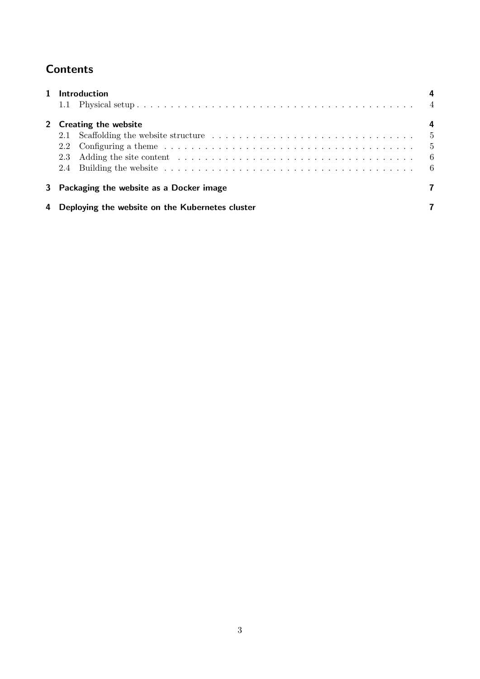## **Contents**

|   | <b>Introduction</b>                                                                                                                                                                                                                   |     |
|---|---------------------------------------------------------------------------------------------------------------------------------------------------------------------------------------------------------------------------------------|-----|
|   |                                                                                                                                                                                                                                       |     |
|   | 2 Creating the website                                                                                                                                                                                                                |     |
|   |                                                                                                                                                                                                                                       |     |
|   | 2.2                                                                                                                                                                                                                                   |     |
|   | Adding the site content resources in the set of the set of the set of the set of the set of the set of the set of the set of the set of the set of the set of the set of the set of the set of the set of the set of the set o<br>2.3 | - 6 |
|   |                                                                                                                                                                                                                                       |     |
|   | 3 Packaging the website as a Docker image                                                                                                                                                                                             |     |
| 4 | Deploying the website on the Kubernetes cluster                                                                                                                                                                                       |     |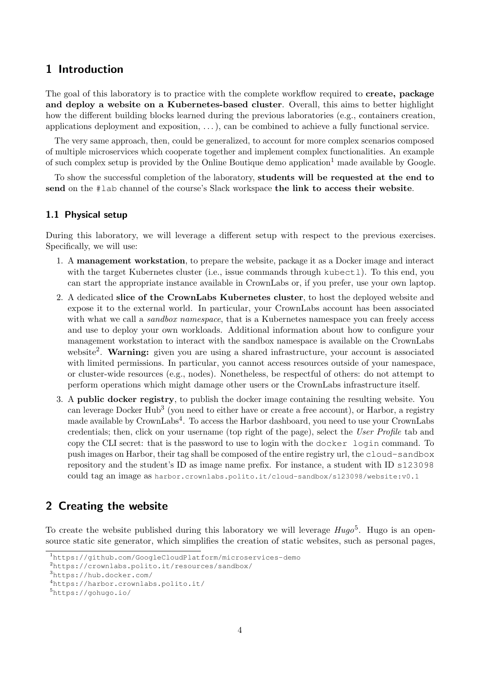## <span id="page-3-0"></span>1 Introduction

The goal of this laboratory is to practice with the complete workflow required to **create**, **package** and deploy a website on a Kubernetes-based cluster. Overall, this aims to better highlight how the different building blocks learned during the previous laboratories (e.g., containers creation, applications deployment and exposition, . . . ), can be combined to achieve a fully functional service.

The very same approach, then, could be generalized, to account for more complex scenarios composed of multiple microservices which cooperate together and implement complex functionalities. An example of such complex setup is provided by the Online Boutique demo application<sup>[1](#page-3-3)</sup> made available by Google.

To show the successful completion of the laboratory, students will be requested at the end to send on the #lab channel of the course's Slack workspace the link to access their website.

#### <span id="page-3-1"></span>1.1 Physical setup

During this laboratory, we will leverage a different setup with respect to the previous exercises. Specifically, we will use:

- 1. A management workstation, to prepare the website, package it as a Docker image and interact with the target Kubernetes cluster (i.e., issue commands through kubectl). To this end, you can start the appropriate instance available in CrownLabs or, if you prefer, use your own laptop.
- 2. A dedicated slice of the CrownLabs Kubernetes cluster, to host the deployed website and expose it to the external world. In particular, your CrownLabs account has been associated with what we call a *sandbox namespace*, that is a Kubernetes namespace you can freely access and use to deploy your own workloads. Additional information about how to configure your management workstation to interact with the sandbox namespace is available on the CrownLabs website<sup>[2](#page-3-4)</sup>. Warning: given you are using a shared infrastructure, your account is associated with limited permissions. In particular, you cannot access resources outside of your namespace, or cluster-wide resources (e.g., nodes). Nonetheless, be respectful of others: do not attempt to perform operations which might damage other users or the CrownLabs infrastructure itself.
- 3. A public docker registry, to publish the docker image containing the resulting website. You can leverage Docker Hub<sup>[3](#page-3-5)</sup> (you need to either have or create a free account), or Harbor, a registry made available by CrownLabs<sup>[4](#page-3-6)</sup>. To access the Harbor dashboard, you need to use your CrownLabs credentials; then, click on your username (top right of the page), select the User Profile tab and copy the CLI secret: that is the password to use to login with the docker login command. To push images on Harbor, their tag shall be composed of the entire registry url, the cloud-sandbox repository and the student's ID as image name prefix. For instance, a student with ID s123098 could tag an image as harbor.crownlabs.polito.it/cloud-sandbox/s123098/website:v0.1

#### <span id="page-3-2"></span>2 Creating the website

To create the website published during this laboratory we will leverage  $Hugo^5$  $Hugo^5$ . Hugo is an opensource static site generator, which simplifies the creation of static websites, such as personal pages,

<span id="page-3-3"></span><sup>1</sup><https://github.com/GoogleCloudPlatform/microservices-demo>

<span id="page-3-4"></span><sup>2</sup><https://crownlabs.polito.it/resources/sandbox/>

<span id="page-3-5"></span><sup>3</sup><https://hub.docker.com/>

<span id="page-3-6"></span><sup>4</sup><https://harbor.crownlabs.polito.it/>

<span id="page-3-7"></span><sup>5</sup><https://gohugo.io/>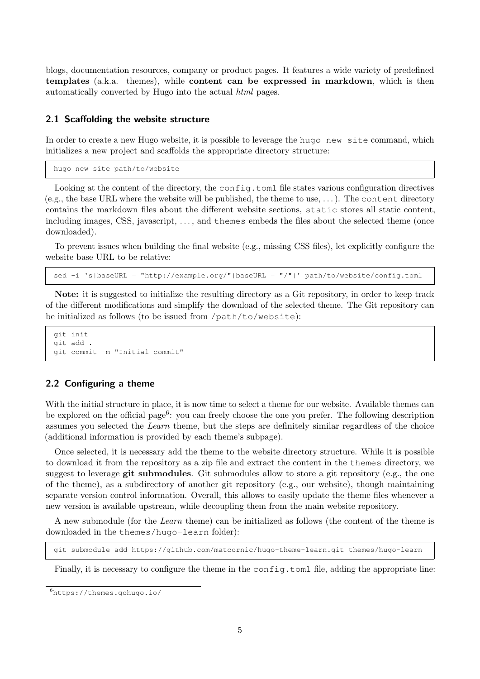blogs, documentation resources, company or product pages. It features a wide variety of predefined templates (a.k.a. themes), while content can be expressed in markdown, which is then automatically converted by Hugo into the actual html pages.

#### <span id="page-4-0"></span>2.1 Scaffolding the website structure

In order to create a new Hugo website, it is possible to leverage the hugo new site command, which initializes a new project and scaffolds the appropriate directory structure:

```
hugo new site path/to/website
```
Looking at the content of the directory, the config.toml file states various configuration directives (e.g., the base URL where the website will be published, the theme to use,  $\dots$ ). The content directory contains the markdown files about the different website sections, static stores all static content, including images, CSS, javascript, . . . , and themes embeds the files about the selected theme (once downloaded).

To prevent issues when building the final website (e.g., missing CSS files), let explicitly configure the website base URL to be relative:

sed -i 's|baseURL = "http://example.org/"|baseURL = "/"|' path/to/website/config.toml

Note: it is suggested to initialize the resulting directory as a Git repository, in order to keep track of the different modifications and simplify the download of the selected theme. The Git repository can be initialized as follows (to be issued from /path/to/website):

```
git init
git add .
git commit -m "Initial commit"
```
#### <span id="page-4-1"></span>2.2 Configuring a theme

With the initial structure in place, it is now time to select a theme for our website. Available themes can be explored on the official page<sup>[6](#page-4-2)</sup>: you can freely choose the one you prefer. The following description assumes you selected the Learn theme, but the steps are definitely similar regardless of the choice (additional information is provided by each theme's subpage).

Once selected, it is necessary add the theme to the website directory structure. While it is possible to download it from the repository as a zip file and extract the content in the themes directory, we suggest to leverage git submodules. Git submodules allow to store a git repository (e.g., the one of the theme), as a subdirectory of another git repository (e.g., our website), though maintaining separate version control information. Overall, this allows to easily update the theme files whenever a new version is available upstream, while decoupling them from the main website repository.

A new submodule (for the Learn theme) can be initialized as follows (the content of the theme is downloaded in the themes/hugo-learn folder):

git submodule add https://github.com/matcornic/hugo-theme-learn.git themes/hugo-learn

Finally, it is necessary to configure the theme in the config.toml file, adding the appropriate line:

<span id="page-4-2"></span><sup>6</sup><https://themes.gohugo.io/>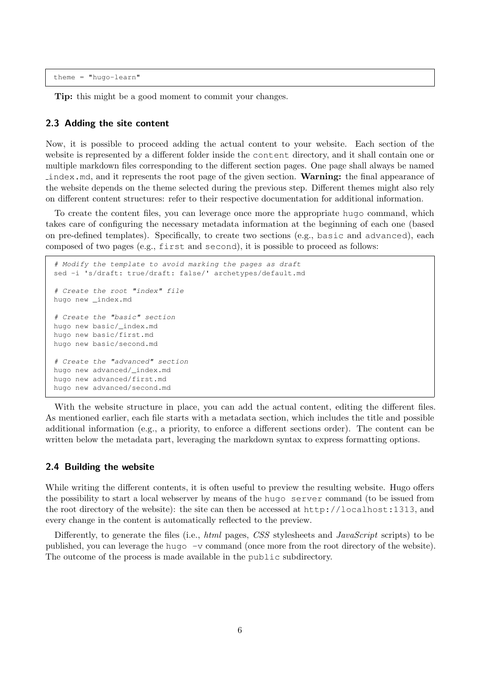theme = "hugo-learn"

Tip: this might be a good moment to commit your changes.

#### <span id="page-5-0"></span>2.3 Adding the site content

Now, it is possible to proceed adding the actual content to your website. Each section of the website is represented by a different folder inside the content directory, and it shall contain one or multiple markdown files corresponding to the different section pages. One page shall always be named index.md, and it represents the root page of the given section. Warning: the final appearance of the website depends on the theme selected during the previous step. Different themes might also rely on different content structures: refer to their respective documentation for additional information.

To create the content files, you can leverage once more the appropriate hugo command, which takes care of configuring the necessary metadata information at the beginning of each one (based on pre-defined templates). Specifically, to create two sections (e.g., basic and advanced), each composed of two pages (e.g., first and second), it is possible to proceed as follows:

```
# Modify the template to avoid marking the pages as draft
sed -i 's/draft: true/draft: false/' archetypes/default.md
# Create the root "index" file
hugo new _index.md
# Create the "basic" section
hugo new basic/_index.md
hugo new basic/first.md
hugo new basic/second.md
# Create the "advanced" section
hugo new advanced/_index.md
hugo new advanced/first.md
hugo new advanced/second.md
```
With the website structure in place, you can add the actual content, editing the different files. As mentioned earlier, each file starts with a metadata section, which includes the title and possible additional information (e.g., a priority, to enforce a different sections order). The content can be written below the metadata part, leveraging the markdown syntax to express formatting options.

#### <span id="page-5-1"></span>2.4 Building the website

While writing the different contents, it is often useful to preview the resulting website. Hugo offers the possibility to start a local webserver by means of the hugo server command (to be issued from the root directory of the website): the site can then be accessed at http://localhost:1313, and every change in the content is automatically reflected to the preview.

Differently, to generate the files (i.e., html pages, CSS stylesheets and JavaScript scripts) to be published, you can leverage the hugo -v command (once more from the root directory of the website). The outcome of the process is made available in the public subdirectory.